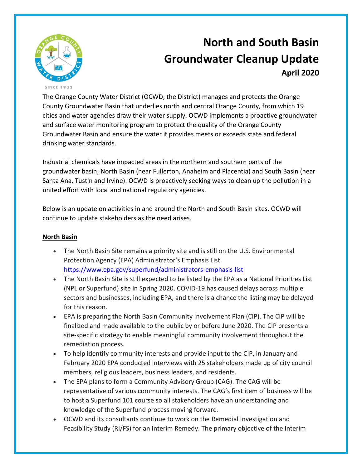

## **North and South Basin Groundwater Cleanup Update April 2020**

The Orange County Water District (OCWD; the District) manages and protects the Orange County Groundwater Basin that underlies north and central Orange County, from which 19 cities and water agencies draw their water supply. OCWD implements a proactive groundwater and surface water monitoring program to protect the quality of the Orange County Groundwater Basin and ensure the water it provides meets or exceeds state and federal drinking water standards.

Industrial chemicals have impacted areas in the northern and southern parts of the groundwater basin; North Basin (near Fullerton, Anaheim and Placentia) and South Basin (near Santa Ana, Tustin and Irvine). OCWD is proactively seeking ways to clean up the pollution in a united effort with local and national regulatory agencies.

Below is an update on activities in and around the North and South Basin sites. OCWD will continue to update stakeholders as the need arises.

## **North Basin**

- The North Basin Site remains a priority site and is still on the U.S. Environmental Protection Agency (EPA) Administrator's Emphasis List. <https://www.epa.gov/superfund/administrators-emphasis-list>
- The North Basin Site is still expected to be listed by the EPA as a National Priorities List (NPL or Superfund) site in Spring 2020. COVID-19 has caused delays across multiple sectors and businesses, including EPA, and there is a chance the listing may be delayed for this reason.
- EPA is preparing the North Basin Community Involvement Plan (CIP). The CIP will be finalized and made available to the public by or before June 2020. The CIP presents a site-specific strategy to enable meaningful community involvement throughout the remediation process.
- To help identify community interests and provide input to the CIP, in January and February 2020 EPA conducted interviews with 25 stakeholders made up of city council members, religious leaders, business leaders, and residents.
- The EPA plans to form a Community Advisory Group (CAG). The CAG will be representative of various community interests. The CAG's first item of business will be to host a Superfund 101 course so all stakeholders have an understanding and knowledge of the Superfund process moving forward.
- OCWD and its consultants continue to work on the Remedial Investigation and Feasibility Study (RI/FS) for an Interim Remedy. The primary objective of the Interim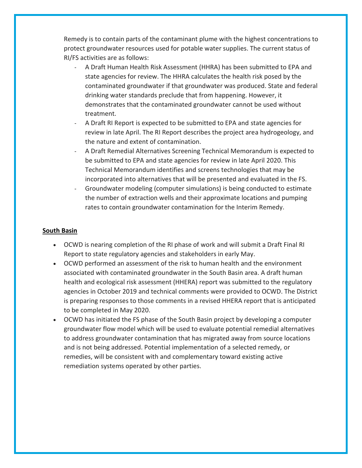Remedy is to contain parts of the contaminant plume with the highest concentrations to protect groundwater resources used for potable water supplies. The current status of RI/FS activities are as follows:

- A Draft Human Health Risk Assessment (HHRA) has been submitted to EPA and state agencies for review. The HHRA calculates the health risk posed by the contaminated groundwater if that groundwater was produced. State and federal drinking water standards preclude that from happening. However, it demonstrates that the contaminated groundwater cannot be used without treatment.
- A Draft RI Report is expected to be submitted to EPA and state agencies for review in late April. The RI Report describes the project area hydrogeology, and the nature and extent of contamination.
- A Draft Remedial Alternatives Screening Technical Memorandum is expected to be submitted to EPA and state agencies for review in late April 2020. This Technical Memorandum identifies and screens technologies that may be incorporated into alternatives that will be presented and evaluated in the FS.
- Groundwater modeling (computer simulations) is being conducted to estimate the number of extraction wells and their approximate locations and pumping rates to contain groundwater contamination for the Interim Remedy.

## **South Basin**

- OCWD is nearing completion of the RI phase of work and will submit a Draft Final RI Report to state regulatory agencies and stakeholders in early May.
- OCWD performed an assessment of the risk to human health and the environment associated with contaminated groundwater in the South Basin area. A draft human health and ecological risk assessment (HHERA) report was submitted to the regulatory agencies in October 2019 and technical comments were provided to OCWD. The District is preparing responses to those comments in a revised HHERA report that is anticipated to be completed in May 2020.
- OCWD has initiated the FS phase of the South Basin project by developing a computer groundwater flow model which will be used to evaluate potential remedial alternatives to address groundwater contamination that has migrated away from source locations and is not being addressed. Potential implementation of a selected remedy, or remedies, will be consistent with and complementary toward existing active remediation systems operated by other parties.